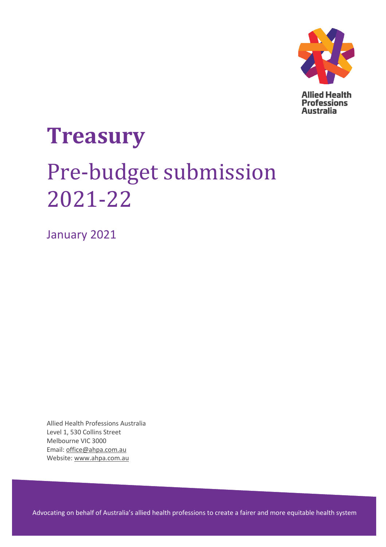

**Allied Health Professions Australia** 

# **Treasury**

# Pre-budget submission 2021-22

January 2021

Allied Health Professions Australia Level 1, 530 Collins Street Melbourne VIC 3000 Email: office@ahpa.com.au Website: www.ahpa.com.au

Advocating on behalf of Australia's allied health professions to create a fairer and more equitable health system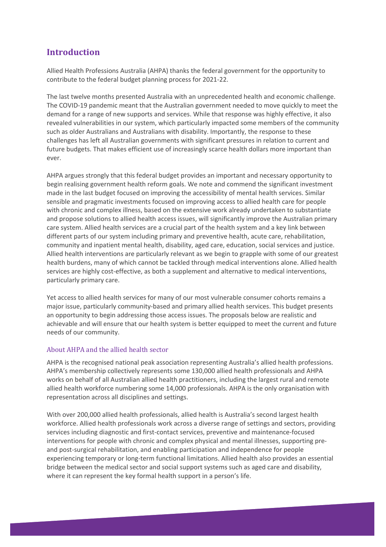# **Introduction**

Allied Health Professions Australia (AHPA) thanks the federal government for the opportunity to contribute to the federal budget planning process for 2021-22.

The last twelve months presented Australia with an unprecedented health and economic challenge. The COVID-19 pandemic meant that the Australian government needed to move quickly to meet the demand for a range of new supports and services. While that response was highly effective, it also revealed vulnerabilities in our system, which particularly impacted some members of the community such as older Australians and Australians with disability. Importantly, the response to these challenges has left all Australian governments with significant pressures in relation to current and future budgets. That makes efficient use of increasingly scarce health dollars more important than ever.

AHPA argues strongly that this federal budget provides an important and necessary opportunity to begin realising government health reform goals. We note and commend the significant investment made in the last budget focused on improving the accessibility of mental health services. Similar sensible and pragmatic investments focused on improving access to allied health care for people with chronic and complex illness, based on the extensive work already undertaken to substantiate and propose solutions to allied health access issues, will significantly improve the Australian primary care system. Allied health services are a crucial part of the health system and a key link between different parts of our system including primary and preventive health, acute care, rehabilitation, community and inpatient mental health, disability, aged care, education, social services and justice. Allied health interventions are particularly relevant as we begin to grapple with some of our greatest health burdens, many of which cannot be tackled through medical interventions alone. Allied health services are highly cost-effective, as both a supplement and alternative to medical interventions, particularly primary care.

Yet access to allied health services for many of our most vulnerable consumer cohorts remains a major issue, particularly community-based and primary allied health services. This budget presents an opportunity to begin addressing those access issues. The proposals below are realistic and achievable and will ensure that our health system is better equipped to meet the current and future needs of our community.

# About AHPA and the allied health sector

AHPA is the recognised national peak association representing Australia's allied health professions. AHPA's membership collectively represents some 130,000 allied health professionals and AHPA works on behalf of all Australian allied health practitioners, including the largest rural and remote allied health workforce numbering some 14,000 professionals. AHPA is the only organisation with representation across all disciplines and settings.

With over 200,000 allied health professionals, allied health is Australia's second largest health workforce. Allied health professionals work across a diverse range of settings and sectors, providing services including diagnostic and first-contact services, preventive and maintenance-focused interventions for people with chronic and complex physical and mental illnesses, supporting preand post-surgical rehabilitation, and enabling participation and independence for people experiencing temporary or long-term functional limitations. Allied health also provides an essential bridge between the medical sector and social support systems such as aged care and disability, where it can represent the key formal health support in a person's life.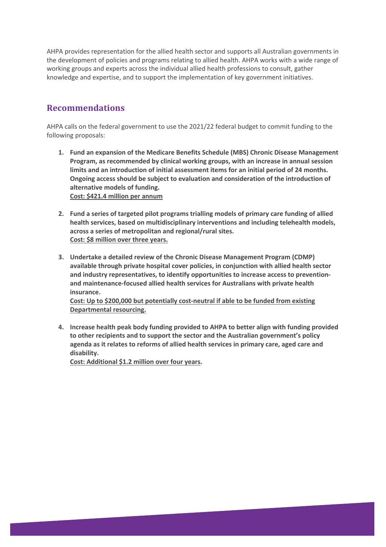AHPA provides representation for the allied health sector and supports all Australian governments in the development of policies and programs relating to allied health. AHPA works with a wide range of working groups and experts across the individual allied health professions to consult, gather knowledge and expertise, and to support the implementation of key government initiatives.

# **Recommendations**

AHPA calls on the federal government to use the 2021/22 federal budget to commit funding to the following proposals:

- **1. Fund an expansion of the Medicare Benefits Schedule (MBS) Chronic Disease Management Program, as recommended by clinical working groups, with an increase in annual session limits and an introduction of initial assessment items for an initial period of 24 months. Ongoing access should be subject to evaluation and consideration of the introduction of alternative models of funding. Cost: \$421.4 million per annum**
- **2. Fund a series of targeted pilot programs trialling models of primary care funding of allied health services, based on multidisciplinary interventions and including telehealth models, across a series of metropolitan and regional/rural sites. Cost: \$8 million over three years.**
- **3. Undertake a detailed review of the Chronic Disease Management Program (CDMP) available through private hospital cover policies, in conjunction with allied health sector and industry representatives, to identify opportunities to increase access to preventionand maintenance-focused allied health services for Australians with private health insurance.**

**Cost: Up to \$200,000 but potentially cost-neutral if able to be funded from existing Departmental resourcing.** 

**4. Increase health peak body funding provided to AHPA to better align with funding provided to other recipients and to support the sector and the Australian government's policy agenda as it relates to reforms of allied health services in primary care, aged care and disability.** 

**Cost: Additional \$1.2 million over four years.**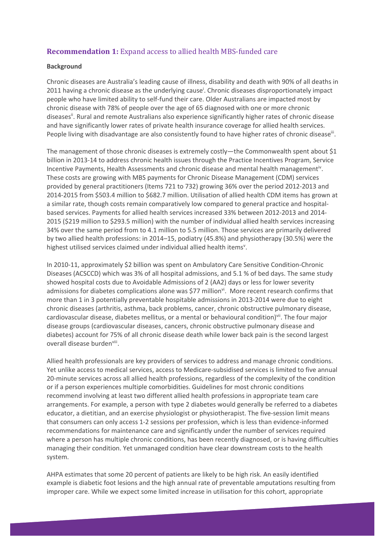# **Recommendation 1:** Expand access to allied health MBS-funded care

#### **Background**

Chronic diseases are Australia's leading cause of illness, disability and death with 90% of all deaths in 2011 having a chronic disease as the underlying cause<sup>i</sup>. Chronic diseases disproportionately impact people who have limited ability to self-fund their care. Older Australians are impacted most by chronic disease with 78% of people over the age of 65 diagnosed with one or more chronic diseasesii. Rural and remote Australians also experience significantly higher rates of chronic disease and have significantly lower rates of private health insurance coverage for allied health services. People living with disadvantage are also consistently found to have higher rates of chronic disease".

The management of those chronic diseases is extremely costly—the Commonwealth spent about \$1 billion in 2013-14 to address chronic health issues through the Practice Incentives Program, Service Incentive Payments, Health Assessments and chronic disease and mental health managementiv. These costs are growing with MBS payments for Chronic Disease Management (CDM) services provided by general practitioners (Items 721 to 732) growing 36% over the period 2012-2013 and 2014-2015 from \$503.4 million to \$682.7 million. Utilisation of allied health CDM items has grown at a similar rate, though costs remain comparatively low compared to general practice and hospitalbased services. Payments for allied health services increased 33% between 2012-2013 and 2014- 2015 (\$219 million to \$293.5 million) with the number of individual allied health services increasing 34% over the same period from to 4.1 million to 5.5 million. Those services are primarily delivered by two allied health professions: in 2014–15, podiatry (45.8%) and physiotherapy (30.5%) were the highest utilised services claimed under individual allied health items<sup>v</sup>.

In 2010-11, approximately \$2 billion was spent on Ambulatory Care Sensitive Condition-Chronic Diseases (ACSCCD) which was 3% of all hospital admissions, and 5.1 % of bed days. The same study showed hospital costs due to Avoidable Admissions of 2 (AA2) days or less for lower severity admissions for diabetes complications alone was \$77 million $v^i$ . More recent research confirms that more than 1 in 3 potentially preventable hospitable admissions in 2013-2014 were due to eight chronic diseases (arthritis, asthma, back problems, cancer, chronic obstructive pulmonary disease, cardiovascular disease, diabetes mellitus, or a mental or behavioural condition) $\dot{v}$ <sup>ii</sup>. The four major disease groups (cardiovascular diseases, cancers, chronic obstructive pulmonary disease and diabetes) account for 75% of all chronic disease death while lower back pain is the second largest overall disease burden<sup>viii</sup>.

Allied health professionals are key providers of services to address and manage chronic conditions. Yet unlike access to medical services, access to Medicare-subsidised services is limited to five annual 20-minute services across all allied health professions, regardless of the complexity of the condition or if a person experiences multiple comorbidities. Guidelines for most chronic conditions recommend involving at least two different allied health professions in appropriate team care arrangements. For example, a person with type 2 diabetes would generally be referred to a diabetes educator, a dietitian, and an exercise physiologist or physiotherapist. The five-session limit means that consumers can only access 1-2 sessions per profession, which is less than evidence-informed recommendations for maintenance care and significantly under the number of services required where a person has multiple chronic conditions, has been recently diagnosed, or is having difficulties managing their condition. Yet unmanaged condition have clear downstream costs to the health system.

AHPA estimates that some 20 percent of patients are likely to be high risk. An easily identified example is diabetic foot lesions and the high annual rate of preventable amputations resulting from improper care. While we expect some limited increase in utilisation for this cohort, appropriate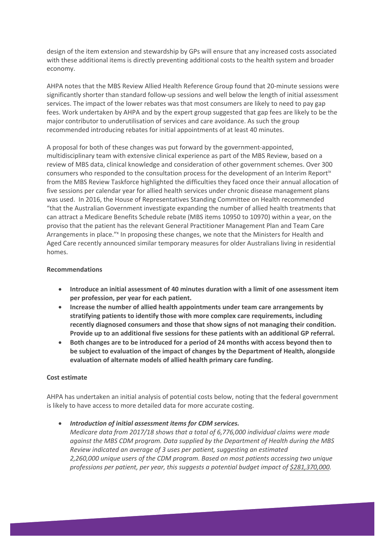design of the item extension and stewardship by GPs will ensure that any increased costs associated with these additional items is directly preventing additional costs to the health system and broader economy.

AHPA notes that the MBS Review Allied Health Reference Group found that 20-minute sessions were significantly shorter than standard follow-up sessions and well below the length of initial assessment services. The impact of the lower rebates was that most consumers are likely to need to pay gap fees. Work undertaken by AHPA and by the expert group suggested that gap fees are likely to be the major contributor to underutilisation of services and care avoidance. As such the group recommended introducing rebates for initial appointments of at least 40 minutes.

A proposal for both of these changes was put forward by the government-appointed, multidisciplinary team with extensive clinical experience as part of the MBS Review, based on a review of MBS data, clinical knowledge and consideration of other government schemes. Over 300 consumers who responded to the consultation process for the development of an Interim Report<sup>ix</sup> from the MBS Review Taskforce highlighted the difficulties they faced once their annual allocation of five sessions per calendar year for allied health services under chronic disease management plans was used. In 2016, the House of Representatives Standing Committee on Health recommended "that the Australian Government investigate expanding the number of allied health treatments that can attract a Medicare Benefits Schedule rebate (MBS items 10950 to 10970) within a year, on the proviso that the patient has the relevant General Practitioner Management Plan and Team Care Arrangements in place." In proposing these changes, we note that the Ministers for Health and Aged Care recently announced similar temporary measures for older Australians living in residential homes.

## **Recommendations**

- **Introduce an initial assessment of 40 minutes duration with a limit of one assessment item per profession, per year for each patient.**
- **Increase the number of allied health appointments under team care arrangements by stratifying patients to identify those with more complex care requirements, including recently diagnosed consumers and those that show signs of not managing their condition. Provide up to an additional five sessions for these patients with an additional GP referral.**
- **Both changes are to be introduced for a period of 24 months with access beyond then to be subject to evaluation of the impact of changes by the Department of Health, alongside evaluation of alternate models of allied health primary care funding.**

## **Cost estimate**

AHPA has undertaken an initial analysis of potential costs below, noting that the federal government is likely to have access to more detailed data for more accurate costing.

• *Introduction of initial assessment items for CDM services.*

*Medicare data from 2017/18 shows that a total of 6,776,000 individual claims were made against the MBS CDM program. Data supplied by the Department of Health during the MBS Review indicated an average of 3 uses per patient, suggesting an estimated 2,260,000 unique users of the CDM program. Based on most patients accessing two unique professions per patient, per year, this suggests a potential budget impact of \$281,370,000.*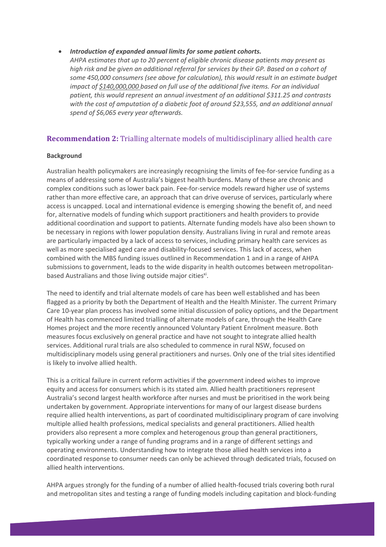# • *Introduction of expanded annual limits for some patient cohorts.*

*AHPA estimates that up to 20 percent of eligible chronic disease patients may present as high risk and be given an additional referral for services by their GP. Based on a cohort of some 450,000 consumers (see above for calculation), this would result in an estimate budget impact of \$140,000,000 based on full use of the additional five items. For an individual patient, this would represent an annual investment of an additional \$311.25 and contrasts with the cost of amputation of a diabetic foot of around \$23,555, and an additional annual spend of \$6,065 every year afterwards.*

# **Recommendation 2:** Trialling alternate models of multidisciplinary allied health care

## **Background**

Australian health policymakers are increasingly recognising the limits of fee-for-service funding as a means of addressing some of Australia's biggest health burdens. Many of these are chronic and complex conditions such as lower back pain. Fee-for-service models reward higher use of systems rather than more effective care, an approach that can drive overuse of services, particularly where access is uncapped. Local and international evidence is emerging showing the benefit of, and need for, alternative models of funding which support practitioners and health providers to provide additional coordination and support to patients. Alternate funding models have also been shown to be necessary in regions with lower population density. Australians living in rural and remote areas are particularly impacted by a lack of access to services, including primary health care services as well as more specialised aged care and disability-focused services. This lack of access, when combined with the MBS funding issues outlined in Recommendation 1 and in a range of AHPA submissions to government, leads to the wide disparity in health outcomes between metropolitanbased Australians and those living outside major cities<sup>xi</sup>.

The need to identify and trial alternate models of care has been well established and has been flagged as a priority by both the Department of Health and the Health Minister. The current Primary Care 10-year plan process has involved some initial discussion of policy options, and the Department of Health has commenced limited trialling of alternate models of care, through the Health Care Homes project and the more recently announced Voluntary Patient Enrolment measure. Both measures focus exclusively on general practice and have not sought to integrate allied health services. Additional rural trials are also scheduled to commence in rural NSW, focused on multidisciplinary models using general practitioners and nurses. Only one of the trial sites identified is likely to involve allied health.

This is a critical failure in current reform activities if the government indeed wishes to improve equity and access for consumers which is its stated aim. Allied health practitioners represent Australia's second largest health workforce after nurses and must be prioritised in the work being undertaken by government. Appropriate interventions for many of our largest disease burdens require allied health interventions, as part of coordinated multidisciplinary program of care involving multiple allied health professions, medical specialists and general practitioners. Allied health providers also represent a more complex and heterogenous group than general practitioners, typically working under a range of funding programs and in a range of different settings and operating environments. Understanding how to integrate those allied health services into a coordinated response to consumer needs can only be achieved through dedicated trials, focused on allied health interventions.

AHPA argues strongly for the funding of a number of allied health-focused trials covering both rural and metropolitan sites and testing a range of funding models including capitation and block-funding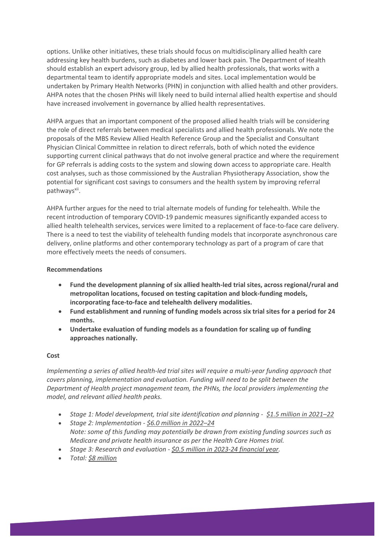options. Unlike other initiatives, these trials should focus on multidisciplinary allied health care addressing key health burdens, such as diabetes and lower back pain. The Department of Health should establish an expert advisory group, led by allied health professionals, that works with a departmental team to identify appropriate models and sites. Local implementation would be undertaken by Primary Health Networks (PHN) in conjunction with allied health and other providers. AHPA notes that the chosen PHNs will likely need to build internal allied health expertise and should have increased involvement in governance by allied health representatives.

AHPA argues that an important component of the proposed allied health trials will be considering the role of direct referrals between medical specialists and allied health professionals. We note the proposals of the MBS Review Allied Health Reference Group and the Specialist and Consultant Physician Clinical Committee in relation to direct referrals, both of which noted the evidence supporting current clinical pathways that do not involve general practice and where the requirement for GP referrals is adding costs to the system and slowing down access to appropriate care. Health cost analyses, such as those commissioned by the Australian Physiotherapy Association, show the potential for significant cost savings to consumers and the health system by improving referral pathways<sup>xii</sup>.

AHPA further argues for the need to trial alternate models of funding for telehealth. While the recent introduction of temporary COVID-19 pandemic measures significantly expanded access to allied health telehealth services, services were limited to a replacement of face-to-face care delivery. There is a need to test the viability of telehealth funding models that incorporate asynchronous care delivery, online platforms and other contemporary technology as part of a program of care that more effectively meets the needs of consumers.

# **Recommendations**

- **Fund the development planning of six allied health-led trial sites, across regional/rural and metropolitan locations, focused on testing capitation and block-funding models, incorporating face-to-face and telehealth delivery modalities.**
- **Fund establishment and running of funding models across six trial sites for a period for 24 months.**
- **Undertake evaluation of funding models as a foundation for scaling up of funding approaches nationally.**

## **Cost**

*Implementing a series of allied health-led trial sites will require a multi-year funding approach that covers planning, implementation and evaluation. Funding will need to be split between the Department of Health project management team, the PHNs, the local providers implementing the model, and relevant allied health peaks.* 

- *Stage 1: Model development, trial site identification and planning \$1.5 million in 2021–22*
- *Stage 2: Implementation - \$6.0 million in 2022–24 Note: some of this funding may potentially be drawn from existing funding sources such as Medicare and private health insurance as per the Health Care Homes trial.*
- *Stage 3: Research and evaluation - \$0.5 million in 2023-24 financial year.*
- *Total: \$8 million*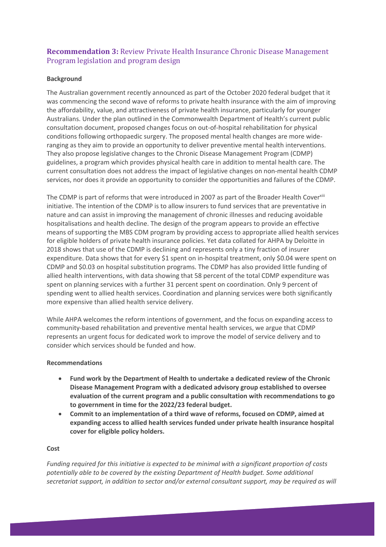# **Recommendation 3:** Review Private Health Insurance Chronic Disease Management Program legislation and program design

# **Background**

The Australian government recently announced as part of the October 2020 federal budget that it was commencing the second wave of reforms to private health insurance with the aim of improving the affordability, value, and attractiveness of private health insurance, particularly for younger Australians. Under the plan outlined in the Commonwealth Department of Health's current public consultation document, proposed changes focus on out-of-hospital rehabilitation for physical conditions following orthopaedic surgery. The proposed mental health changes are more wideranging as they aim to provide an opportunity to deliver preventive mental health interventions. They also propose legislative changes to the Chronic Disease Management Program (CDMP) guidelines, a program which provides physical health care in addition to mental health care. The current consultation does not address the impact of legislative changes on non-mental health CDMP services, nor does it provide an opportunity to consider the opportunities and failures of the CDMP.

The CDMP is part of reforms that were introduced in 2007 as part of the Broader Health Coverxiii initiative. The intention of the CDMP is to allow insurers to fund services that are preventative in nature and can assist in improving the management of chronic illnesses and reducing avoidable hospitalisations and health decline. The design of the program appears to provide an effective means of supporting the MBS CDM program by providing access to appropriate allied health services for eligible holders of private health insurance policies. Yet data collated for AHPA by Deloitte in 2018 shows that use of the CDMP is declining and represents only a tiny fraction of insurer expenditure. Data shows that for every \$1 spent on in-hospital treatment, only \$0.04 were spent on CDMP and \$0.03 on hospital substitution programs. The CDMP has also provided little funding of allied health interventions, with data showing that 58 percent of the total CDMP expenditure was spent on planning services with a further 31 percent spent on coordination. Only 9 percent of spending went to allied health services. Coordination and planning services were both significantly more expensive than allied health service delivery.

While AHPA welcomes the reform intentions of government, and the focus on expanding access to community-based rehabilitation and preventive mental health services, we argue that CDMP represents an urgent focus for dedicated work to improve the model of service delivery and to consider which services should be funded and how.

## **Recommendations**

- **Fund work by the Department of Health to undertake a dedicated review of the Chronic Disease Management Program with a dedicated advisory group established to oversee evaluation of the current program and a public consultation with recommendations to go to government in time for the 2022/23 federal budget.**
- **Commit to an implementation of a third wave of reforms, focused on CDMP, aimed at expanding access to allied health services funded under private health insurance hospital cover for eligible policy holders.**

## **Cost**

*Funding required for this initiative is expected to be minimal with a significant proportion of costs potentially able to be covered by the existing Department of Health budget. Some additional secretariat support, in addition to sector and/or external consultant support, may be required as will*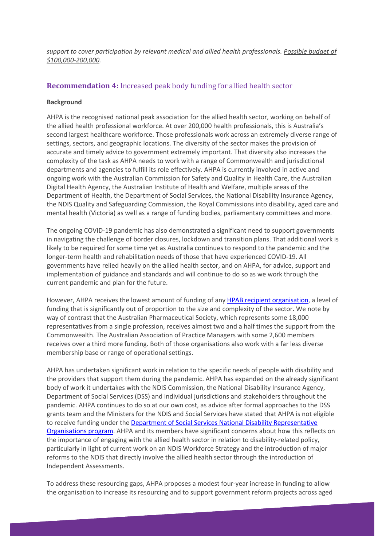*support to cover participation by relevant medical and allied health professionals. Possible budget of \$100,000-200,000.*

# **Recommendation 4:** Increased peak body funding for allied health sector

#### **Background**

AHPA is the recognised national peak association for the allied health sector, working on behalf of the allied health professional workforce. At over 200,000 health professionals, this is Australia's second largest healthcare workforce. Those professionals work across an extremely diverse range of settings, sectors, and geographic locations. The diversity of the sector makes the provision of accurate and timely advice to government extremely important. That diversity also increases the complexity of the task as AHPA needs to work with a range of Commonwealth and jurisdictional departments and agencies to fulfill its role effectively. AHPA is currently involved in active and ongoing work with the Australian Commission for Safety and Quality in Health Care, the Australian Digital Health Agency, the Australian Institute of Health and Welfare, multiple areas of the Department of Health, the Department of Social Services, the National Disability Insurance Agency, the NDIS Quality and Safeguarding Commission, the Royal Commissions into disability, aged care and mental health (Victoria) as well as a range of funding bodies, parliamentary committees and more.

The ongoing COVID-19 pandemic has also demonstrated a significant need to support governments in navigating the challenge of border closures, lockdown and transition plans. That additional work is likely to be required for some time yet as Australia continues to respond to the pandemic and the longer-term health and rehabilitation needs of those that have experienced COVID-19. All governments have relied heavily on the allied health sector, and on AHPA, for advice, support and implementation of guidance and standards and will continue to do so as we work through the current pandemic and plan for the future.

However, AHPA receives the lowest amount of funding of any HPAB recipient organisation, a level of funding that is significantly out of proportion to the size and complexity of the sector. We note by way of contrast that the Australian Pharmaceutical Society, which represents some 18,000 representatives from a single profession, receives almost two and a half times the support from the Commonwealth. The Australian Association of Practice Managers with some 2,600 members receives over a third more funding. Both of those organisations also work with a far less diverse membership base or range of operational settings.

AHPA has undertaken significant work in relation to the specific needs of people with disability and the providers that support them during the pandemic. AHPA has expanded on the already significant body of work it undertakes with the NDIS Commission, the National Disability Insurance Agency, Department of Social Services (DSS) and individual jurisdictions and stakeholders throughout the pandemic. AHPA continues to do so at our own cost, as advice after formal approaches to the DSS grants team and the Ministers for the NDIS and Social Services have stated that AHPA is not eligible to receive funding under the Department of Social Services National Disability Representative Organisations program. AHPA and its members have significant concerns about how this reflects on the importance of engaging with the allied health sector in relation to disability-related policy, particularly in light of current work on an NDIS Workforce Strategy and the introduction of major reforms to the NDIS that directly involve the allied health sector through the introduction of Independent Assessments.

To address these resourcing gaps, AHPA proposes a modest four-year increase in funding to allow the organisation to increase its resourcing and to support government reform projects across aged